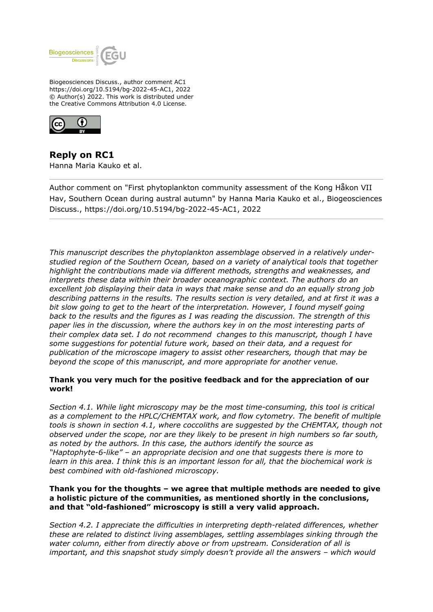

Biogeosciences Discuss., author comment AC1 https://doi.org/10.5194/bg-2022-45-AC1, 2022 © Author(s) 2022. This work is distributed under the Creative Commons Attribution 4.0 License.



**Reply on RC1** Hanna Maria Kauko et al.

Author comment on "First phytoplankton community assessment of the Kong Håkon VII Hav, Southern Ocean during austral autumn" by Hanna Maria Kauko et al., Biogeosciences Discuss., https://doi.org/10.5194/bg-2022-45-AC1, 2022

*This manuscript describes the phytoplankton assemblage observed in a relatively understudied region of the Southern Ocean, based on a variety of analytical tools that together highlight the contributions made via different methods, strengths and weaknesses, and interprets these data within their broader oceanographic context. The authors do an excellent job displaying their data in ways that make sense and do an equally strong job describing patterns in the results. The results section is very detailed, and at first it was a bit slow going to get to the heart of the interpretation. However, I found myself going back to the results and the figures as I was reading the discussion. The strength of this paper lies in the discussion, where the authors key in on the most interesting parts of their complex data set. I do not recommend changes to this manuscript, though I have some suggestions for potential future work, based on their data, and a request for publication of the microscope imagery to assist other researchers, though that may be beyond the scope of this manuscript, and more appropriate for another venue.*

# **Thank you very much for the positive feedback and for the appreciation of our work!**

*Section 4.1. While light microscopy may be the most time-consuming, this tool is critical as a complement to the HPLC/CHEMTAX work, and flow cytometry. The benefit of multiple tools is shown in section 4.1, where coccoliths are suggested by the CHEMTAX, though not observed under the scope, nor are they likely to be present in high numbers so far south, as noted by the authors. In this case, the authors identify the source as "Haptophyte-6-like" – an appropriate decision and one that suggests there is more to learn in this area. I think this is an important lesson for all, that the biochemical work is best combined with old-fashioned microscopy.*

## **Thank you for the thoughts – we agree that multiple methods are needed to give a holistic picture of the communities, as mentioned shortly in the conclusions, and that "old-fashioned" microscopy is still a very valid approach.**

*Section 4.2. I appreciate the difficulties in interpreting depth-related differences, whether these are related to distinct living assemblages, settling assemblages sinking through the water column, either from directly above or from upstream. Consideration of all is important, and this snapshot study simply doesn't provide all the answers – which would*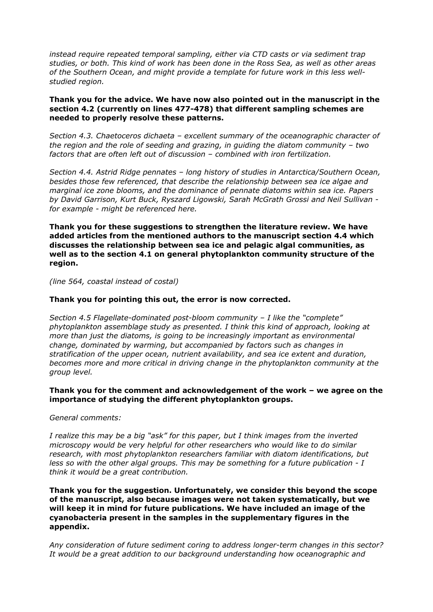*instead require repeated temporal sampling, either via CTD casts or via sediment trap studies, or both. This kind of work has been done in the Ross Sea, as well as other areas of the Southern Ocean, and might provide a template for future work in this less wellstudied region.*

## **Thank you for the advice. We have now also pointed out in the manuscript in the section 4.2 (currently on lines 477-478) that different sampling schemes are needed to properly resolve these patterns.**

*Section 4.3. Chaetoceros dichaeta – excellent summary of the oceanographic character of the region and the role of seeding and grazing, in guiding the diatom community – two factors that are often left out of discussion – combined with iron fertilization.*

*Section 4.4. Astrid Ridge pennates – long history of studies in Antarctica/Southern Ocean, besides those few referenced, that describe the relationship between sea ice algae and marginal ice zone blooms, and the dominance of pennate diatoms within sea ice. Papers by David Garrison, Kurt Buck, Ryszard Ligowski, Sarah McGrath Grossi and Neil Sullivan for example - might be referenced here.*

**Thank you for these suggestions to strengthen the literature review. We have added articles from the mentioned authors to the manuscript section 4.4 which discusses the relationship between sea ice and pelagic algal communities, as well as to the section 4.1 on general phytoplankton community structure of the region.**

*(line 564, coastal instead of costal)*

## **Thank you for pointing this out, the error is now corrected.**

*Section 4.5 Flagellate-dominated post-bloom community – I like the "complete" phytoplankton assemblage study as presented. I think this kind of approach, looking at more than just the diatoms, is going to be increasingly important as environmental change, dominated by warming, but accompanied by factors such as changes in stratification of the upper ocean, nutrient availability, and sea ice extent and duration, becomes more and more critical in driving change in the phytoplankton community at the group level.* 

## **Thank you for the comment and acknowledgement of the work – we agree on the importance of studying the different phytoplankton groups.**

#### *General comments:*

*I realize this may be a big "ask" for this paper, but I think images from the inverted microscopy would be very helpful for other researchers who would like to do similar research, with most phytoplankton researchers familiar with diatom identifications, but less so with the other algal groups. This may be something for a future publication - I think it would be a great contribution.*

**Thank you for the suggestion. Unfortunately, we consider this beyond the scope of the manuscript, also because images were not taken systematically, but we will keep it in mind for future publications. We have included an image of the cyanobacteria present in the samples in the supplementary figures in the appendix.**

*Any consideration of future sediment coring to address longer-term changes in this sector? It would be a great addition to our background understanding how oceanographic and*